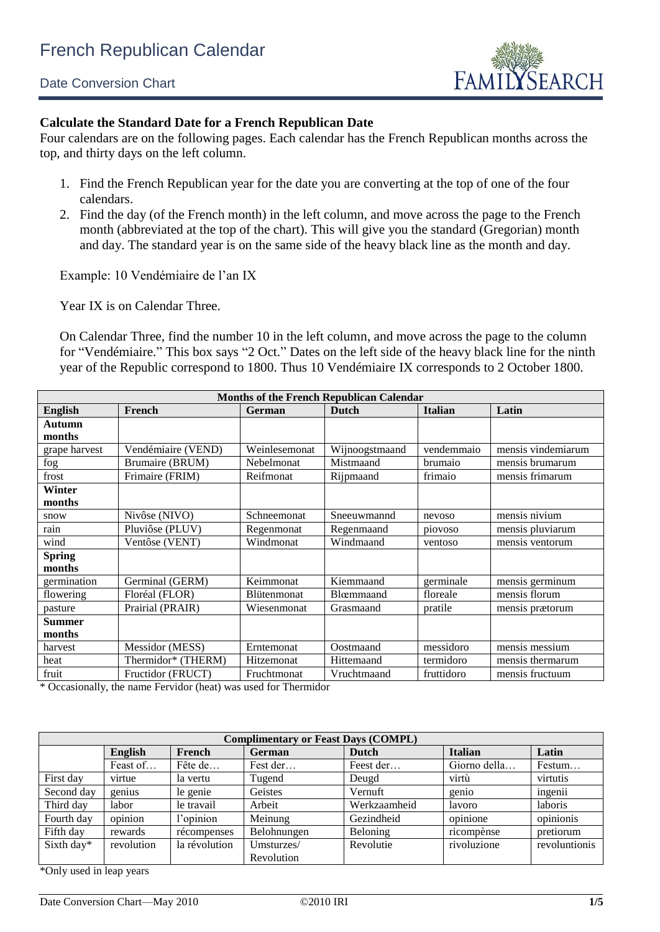## Date Conversion Chart



## **Calculate the Standard Date for a French Republican Date**

Four calendars are on the following pages. Each calendar has the French Republican months across the top, and thirty days on the left column.

- 1. Find the French Republican year for the date you are converting at the top of one of the four calendars.
- 2. Find the day (of the French month) in the left column, and move across the page to the French month (abbreviated at the top of the chart). This will give you the standard (Gregorian) month and day. The standard year is on the same side of the heavy black line as the month and day.

Example: 10 Vendémiaire de l'an IX

Year IX is on Calendar Three.

On Calendar Three, find the number 10 in the left column, and move across the page to the column for "Vendémiaire." This box says "2 Oct." Dates on the left side of the heavy black line for the ninth year of the Republic correspond to 1800. Thus 10 Vendémiaire IX corresponds to 2 October 1800.

| <b>Months of the French Republican Calendar</b> |                    |                    |                |                |                    |  |  |  |  |  |  |
|-------------------------------------------------|--------------------|--------------------|----------------|----------------|--------------------|--|--|--|--|--|--|
| <b>English</b>                                  | French             | German             | Dutch          | <b>Italian</b> | Latin              |  |  |  |  |  |  |
| <b>Autumn</b>                                   |                    |                    |                |                |                    |  |  |  |  |  |  |
| months                                          |                    |                    |                |                |                    |  |  |  |  |  |  |
| grape harvest                                   | Vendémiaire (VEND) | Weinlesemonat      | Wijnoogstmaand | vendemmaio     | mensis vindemiarum |  |  |  |  |  |  |
| fog                                             | Brumaire (BRUM)    | Nebelmonat         | Mistmaand      | brumaio        | mensis brumarum    |  |  |  |  |  |  |
| frost                                           | Frimaire (FRIM)    | Reifmonat          | Rijpmaand      | frimaio        | mensis frimarum    |  |  |  |  |  |  |
| Winter                                          |                    |                    |                |                |                    |  |  |  |  |  |  |
| months                                          |                    |                    |                |                |                    |  |  |  |  |  |  |
| snow                                            | Nivôse (NIVO)      | Schneemonat        | Sneeuwmannd    | nevoso         | mensis nivium      |  |  |  |  |  |  |
| rain                                            | Pluviôse (PLUV)    | Regenmonat         | Regenmaand     | piovoso        | mensis pluviarum   |  |  |  |  |  |  |
| wind                                            | Ventôse (VENT)     | Windmonat          | Windmaand      | ventoso        | mensis ventorum    |  |  |  |  |  |  |
| <b>Spring</b>                                   |                    |                    |                |                |                    |  |  |  |  |  |  |
| months                                          |                    |                    |                |                |                    |  |  |  |  |  |  |
| germination                                     | Germinal (GERM)    | Keimmonat          | Kiemmaand      | germinale      | mensis germinum    |  |  |  |  |  |  |
| flowering                                       | Floréal (FLOR)     | <b>Blütenmonat</b> | Blœmmaand      | floreale       | mensis florum      |  |  |  |  |  |  |
| pasture                                         | Prairial (PRAIR)   | Wiesenmonat        | Grasmaand      | pratile        | mensis prætorum    |  |  |  |  |  |  |
| <b>Summer</b>                                   |                    |                    |                |                |                    |  |  |  |  |  |  |
| months                                          |                    |                    |                |                |                    |  |  |  |  |  |  |
| harvest                                         | Messidor (MESS)    | Erntemonat         | Oostmaand      | messidoro      | mensis messium     |  |  |  |  |  |  |
| heat                                            | Thermidor* (THERM) | Hitzemonat         | Hittemaand     | termidoro      | mensis thermarum   |  |  |  |  |  |  |
| fruit                                           | Fructidor (FRUCT)  | Fruchtmonat        | Vruchtmaand    | fruttidoro     | mensis fructuum    |  |  |  |  |  |  |

\* Occasionally, the name Fervidor (heat) was used for Thermidor

|            | <b>Complimentary or Feast Days (COMPL)</b> |               |             |              |                |               |  |  |  |  |  |  |
|------------|--------------------------------------------|---------------|-------------|--------------|----------------|---------------|--|--|--|--|--|--|
|            | <b>English</b>                             | French        | German      | Dutch        | <b>Italian</b> | Latin         |  |  |  |  |  |  |
|            | Feast of                                   | Fête de       | Fest der    | Feest der    | Giorno della   | Festum        |  |  |  |  |  |  |
| First day  | virtue                                     | la vertu      | Tugend      | Deugd        | virtù          | virtutis      |  |  |  |  |  |  |
| Second day | genius                                     | le genie      | Geistes     | Vernuft      | genio          | ingenii       |  |  |  |  |  |  |
| Third day  | labor                                      | le travail    | Arbeit      | Werkzaamheid | lavoro         | laboris       |  |  |  |  |  |  |
| Fourth day | opinion                                    | l'opinion     | Meinung     | Gezindheid   | opinione       | opinionis     |  |  |  |  |  |  |
| Fifth day  | rewards                                    | récompenses   | Belohnungen | Beloning     | ricompènse     | pretiorum     |  |  |  |  |  |  |
| Sixth day* | revolution                                 | la révolution | Umsturzes/  | Revolutie    | rivoluzione    | revoluntionis |  |  |  |  |  |  |
|            |                                            |               | Revolution  |              |                |               |  |  |  |  |  |  |

\*Only used in leap years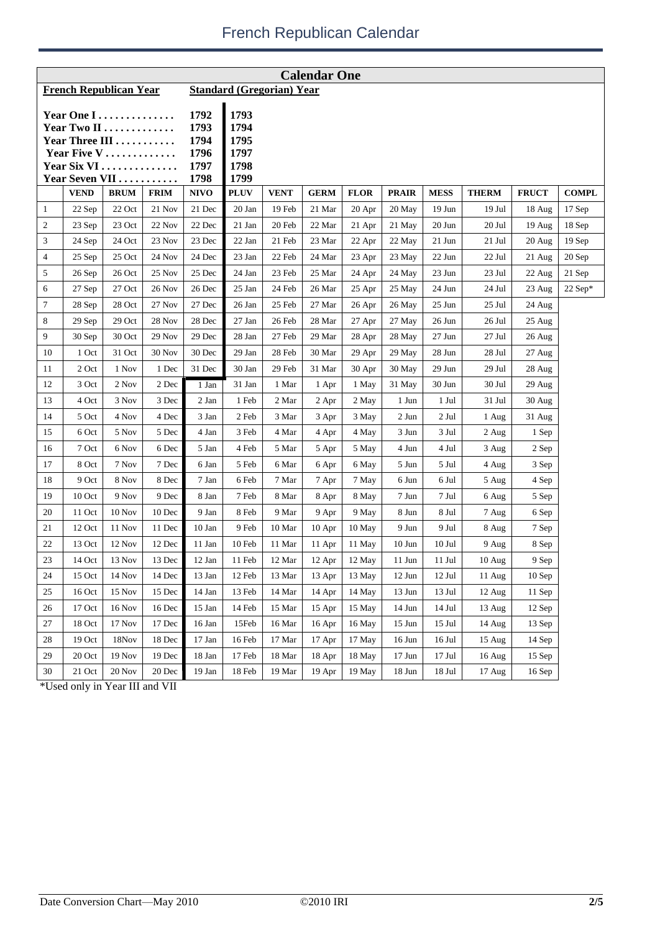| <b>Calendar One</b>                                                                         |               |             |             |                                              |                                              |                                  |             |             |              |               |                    |                   |              |
|---------------------------------------------------------------------------------------------|---------------|-------------|-------------|----------------------------------------------|----------------------------------------------|----------------------------------|-------------|-------------|--------------|---------------|--------------------|-------------------|--------------|
| <b>French Republican Year</b>                                                               |               |             |             |                                              |                                              | <b>Standard (Gregorian) Year</b> |             |             |              |               |                    |                   |              |
| Year One I<br>Year Two II<br>Year Three III<br>Year Five V<br>Year Six VI<br>Year Seven VII |               |             |             | 1792<br>1793<br>1794<br>1796<br>1797<br>1798 | 1793<br>1794<br>1795<br>1797<br>1798<br>1799 |                                  |             |             |              |               |                    |                   |              |
|                                                                                             | <b>VEND</b>   | <b>BRUM</b> | <b>FRIM</b> | <b>NIVO</b>                                  | <b>PLUV</b>                                  | <b>VENT</b>                      | <b>GERM</b> | <b>FLOR</b> | <b>PRAIR</b> | <b>MESS</b>   | <b>THERM</b>       | <b>FRUCT</b>      | <b>COMPL</b> |
| 1                                                                                           | 22 Sep        | 22 Oct      | 21 Nov      | 21 Dec                                       | 20 Jan                                       | 19 Feb                           | 21 Mar      | 20 Apr      | 20 May       | $19$ Jun      | 19 Jul             | 18 Aug            | 17 Sep       |
| 2                                                                                           | 23 Sep        | 23 Oct      | 22 Nov      | 22 Dec                                       | 21 Jan                                       | 20 Feb                           | 22 Mar      | 21 Apr      | 21 May       | $20$ Jun      | 20 Jul             | 19 Aug            | 18 Sep       |
| 3                                                                                           | 24 Sep        | 24 Oct      | 23 Nov      | 23 Dec                                       | 22 Jan                                       | 21 Feb                           | 23 Mar      | 22 Apr      | 22 May       | 21 Jun        | 21 Jul             | 20 Aug            | $19$ Sep     |
| 4                                                                                           | 25 Sep        | 25 Oct      | 24 Nov      | 24 Dec                                       | 23 Jan                                       | 22 Feb                           | 24 Mar      | 23 Apr      | 23 May       | 22 Jun        | 22 Jul             | 21 Aug            | 20 Sep       |
| 5                                                                                           | 26 Sep        | 26 Oct      | 25 Nov      | 25 Dec                                       | 24 Jan                                       | 23 Feb                           | 25 Mar      | 24 Apr      | 24 May       | 23 Jun        | 23 Jul             | 22 Aug            | 21 Sep       |
| 6                                                                                           | 27 Sep        | 27 Oct      | 26 Nov      | 26 Dec                                       | 25 Jan                                       | 24 Feb                           | 26 Mar      | 25 Apr      | 25 May       | 24 Jun        | 24 Jul             | 23 Aug            | $22$ Sep*    |
| 7                                                                                           | 28 Sep        | 28 Oct      | 27 Nov      | 27 Dec                                       | 26 Jan                                       | 25 Feb                           | 27 Mar      | 26 Apr      | 26 May       | $25$ Jun      | 25 Jul             | 24 Aug            |              |
| 8                                                                                           | 29 Sep        | 29 Oct      | 28 Nov      | 28 Dec                                       | 27 Jan                                       | 26 Feb                           | 28 Mar      | 27 Apr      | 27 May       | 26 Jun        | 26 Jul             | $25 \text{ Aug}$  |              |
| 9                                                                                           | 30 Sep        | 30 Oct      | 29 Nov      | 29 Dec                                       | 28 Jan                                       | 27 Feb                           | 29 Mar      | 28 Apr      | 28 May       | 27 Jun        | 27 Jul             | 26 Aug            |              |
| 10                                                                                          | 1 Oct         | 31 Oct      | 30 Nov      | 30 Dec                                       | 29 Jan                                       | 28 Feb                           | 30 Mar      | 29 Apr      | 29 May       | 28 Jun        | 28 Jul             | 27 Aug            |              |
| 11                                                                                          | 2 Oct         | 1 Nov       | 1 Dec       | 31 Dec                                       | 30 Jan                                       | 29 Feb                           | 31 Mar      | 30 Apr      | 30 May       | 29 Jun        | 29 Jul             | 28 Aug            |              |
| 12                                                                                          | 3 Oct         | 2 Nov       | 2 Dec       | 1 Jan                                        | 31 Jan                                       | 1 Mar                            | 1 Apr       | 1 May       | 31 May       | 30 Jun        | 30 Jul             | 29 Aug            |              |
| 13                                                                                          | 4 Oct         | 3 Nov       | 3 Dec       | 2 Jan                                        | 1 Feb                                        | 2 Mar                            | 2 Apr       | 2 May       | 1 Jun        | 1 Jul         | 31 Jul             | $30$ Aug          |              |
| 14                                                                                          | 5 Oct         | 4 Nov       | 4 Dec       | 3 Jan                                        | 2 Feb                                        | 3 Mar                            | 3 Apr       | 3 May       | 2 Jun        | 2 Jul         | 1 Aug              | 31 Aug            |              |
| 15                                                                                          | 6 Oct         | 5 Nov       | 5 Dec       | 4 Jan                                        | 3 Feb                                        | 4 Mar                            | 4 Apr       | 4 May       | 3 Jun        | 3 Jul         | 2 Aug              | 1 Sep             |              |
| 16                                                                                          | 7 Oct         | 6 Nov       | 6 Dec       | 5 Jan                                        | 4 Feb                                        | 5 Mar                            | 5 Apr       | 5 May       | 4 Jun        | 4 Jul         | 3 Aug              | 2 Sep             |              |
| 17                                                                                          | 8 Oct         | 7 Nov       | 7 Dec       | 6 Jan                                        | 5 Feb                                        | 6 Mar                            | 6 Apr       | 6 May       | 5 Jun        | 5 Jul         | 4 Aug              | 3 Sep             |              |
| 18                                                                                          | 9 Oct         | 8 Nov       | 8 Dec       | 7 Jan                                        | 6 Feb                                        | 7 Mar                            | 7 Apr       | 7 May       | 6 Jun        | 6 Jul         | 5 Aug              | 4 Sep             |              |
| 19                                                                                          | 10 Oct        | 9 Nov       | 9 Dec       | 8 Jan                                        | 7 Feb                                        | 8 Mar                            | 8 Apr       | 8 May       | 7 Jun        | 7 Jul         | 6 Aug              | 5 Sep             |              |
| 20                                                                                          | 11 Oct        | $10$ Nov    | 10 Dec      | 9 Jan                                        | 8 Feb                                        | 9 Mar                            | 9 Apr       | 9 May       | 8 Jun        | 8 Jul         | 7 Aug              | 6 Sep             |              |
| 21                                                                                          | 12 Oct        | 11 Nov      | 11 Dec      | 10 Jan                                       | 9 Feb                                        | 10 Mar                           | $10$ Apr    | 10 May      | 9 Jun        | 9 Jul         | 8 Aug              | 7 Sep             |              |
| 22                                                                                          | 13 Oct        | 12 Nov      | 12 Dec      | 11 Jan                                       | 10 Feb                                       | 11 Mar                           | 11 Apr      | 11 May      | $10$ Jun     | $10$ Jul      | 9 Aug              | 8 Sep             |              |
| $23\,$                                                                                      | 14 Oct        | 13 Nov      | 13 Dec      | 12 Jan                                       | $11\,\ensuremath{\,\text{Feb}}$              | 12 Mar                           | 12 Apr      | 12 May      | $11$ Jun     | $11$ Jul $\,$ | $10\ \mathrm{Aug}$ | $9\;\mathrm{Sep}$ |              |
| 24                                                                                          | 15 Oct        | 14 Nov      | 14 Dec      | 13 Jan                                       | 12 Feb                                       | 13 Mar                           | 13 Apr      | 13 May      | 12 Jun       | $12$ Jul      | $11$ Aug           | $10$ Sep          |              |
| 25                                                                                          | 16 Oct        | 15 Nov      | 15 Dec      | 14 Jan                                       | 13 Feb                                       | 14 Mar                           | 14 Apr      | 14 May      | $13$ Jun     | 13 Jul        | 12 Aug             | 11 Sep            |              |
| 26                                                                                          | 17 Oct        | 16 Nov      | 16 Dec      | 15 Jan                                       | 14 Feb                                       | 15 Mar                           | 15 Apr      | 15 May      | 14 Jun       | $14$ Jul      | 13 Aug             | 12 Sep            |              |
| 27                                                                                          | 18 Oct        | 17 Nov      | 17 Dec      | 16 Jan                                       | 15Feb                                        | 16 Mar                           | 16 Apr      | 16 May      | $15$ Jun     | 15 Jul        | 14 Aug             | 13 Sep            |              |
| 28                                                                                          | 19 Oct        | 18Nov       | 18 Dec      | 17 Jan                                       | 16 Feb                                       | 17 Mar                           | 17 Apr      | 17 May      | $16$ Jun     | 16 Jul        | 15 Aug             | 14 Sep            |              |
| 29                                                                                          | 20 Oct        | 19 Nov      | 19 Dec      | 18 Jan                                       | 17 Feb                                       | 18 Mar                           | 18 Apr      | 18 May      | $17$ Jun     | $17$ Jul      | 16 Aug             | $15$ Sep          |              |
| 30                                                                                          | $21$ Oct $\,$ | 20 Nov      | 20 Dec      | $19\ \mathrm{Jan}$                           | 18 Feb                                       | 19 Mar                           | 19 Apr      | 19 May      | 18 Jun       | 18 Jul        | 17 Aug             | $16$ Sep          |              |

\*Used only in Year III and VII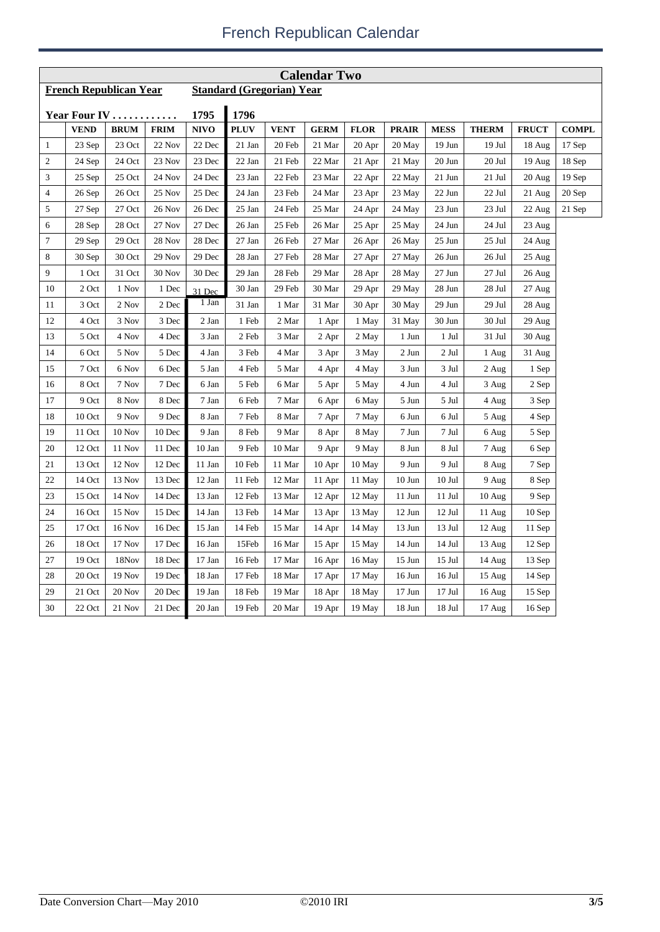| <b>Calendar Two</b> |                               |               |             |             |             |                                  |             |             |              |                  |                  |              |              |
|---------------------|-------------------------------|---------------|-------------|-------------|-------------|----------------------------------|-------------|-------------|--------------|------------------|------------------|--------------|--------------|
|                     | <b>French Republican Year</b> |               |             |             |             | <b>Standard (Gregorian) Year</b> |             |             |              |                  |                  |              |              |
|                     |                               |               |             | 1795        | 1796        |                                  |             |             |              |                  |                  |              |              |
|                     | Year Four IV<br>VEND          | <b>BRUM</b>   | <b>FRIM</b> | <b>NIVO</b> | <b>PLUV</b> | <b>VENT</b>                      | <b>GERM</b> | <b>FLOR</b> | <b>PRAIR</b> | <b>MESS</b>      | <b>THERM</b>     | <b>FRUCT</b> | <b>COMPL</b> |
| $\mathbf{1}$        | 23 Sep                        | 23 Oct        | 22 Nov      | 22 Dec      | 21 Jan      | 20 Feb                           | 21 Mar      | 20 Apr      | 20 May       | 19 Jun           | $19$ Jul         | 18 Aug       | 17 Sep       |
| 2                   | 24 Sep                        | 24 Oct        | 23 Nov      | 23 Dec      | 22 Jan      | 21 Feb                           | 22 Mar      | 21 Apr      | 21 May       | 20 Jun           | 20 Jul           | 19 Aug       | 18 Sep       |
| 3                   | 25 Sep                        | 25 Oct        | 24 Nov      | 24 Dec      | 23 Jan      | 22 Feb                           | 23 Mar      | 22 Apr      | 22 May       | 21 Jun           | 21 Jul           | 20 Aug       | 19 Sep       |
| 4                   | 26 Sep                        | 26 Oct        | 25 Nov      | 25 Dec      | 24 Jan      | 23 Feb                           | 24 Mar      | 23 Apr      | 23 May       | 22 Jun           | 22 Jul           | 21 Aug       | 20 Sep       |
| 5                   | 27 Sep                        | 27 Oct        | 26 Nov      | 26 Dec      | 25 Jan      | 24 Feb                           | 25 Mar      | 24 Apr      | 24 May       | 23 Jun           | 23 Jul           | 22 Aug       | 21 Sep       |
| 6                   | 28 Sep                        | 28 Oct        | 27 Nov      | 27 Dec      | 26 Jan      | 25 Feb                           | 26 Mar      | 25 Apr      | 25 May       | 24 Jun           | 24 Jul           | 23 Aug       |              |
| 7                   | 29 Sep                        | 29 Oct        | 28 Nov      | 28 Dec      | 27 Jan      | 26 Feb                           | 27 Mar      | 26 Apr      | 26 May       | $25$ Jun         | 25 Jul           | 24 Aug       |              |
| 8                   | 30 Sep                        | 30 Oct        | 29 Nov      | 29 Dec      | 28 Jan      | 27 Feb                           | 28 Mar      | 27 Apr      | 27 May       | 26 Jun           | 26 Jul           | 25 Aug       |              |
| 9                   | 1 Oct                         | 31 Oct        | 30 Nov      | 30 Dec      | 29 Jan      | 28 Feb                           | 29 Mar      | 28 Apr      | 28 May       | $27 \text{ Jun}$ | 27 Jul           | 26 Aug       |              |
| 10                  | 2 Oct                         | 1 Nov         | 1 Dec       | 31 Dec      | 30 Jan      | 29 Feb                           | 30 Mar      | 29 Apr      | 29 May       | 28 Jun           | 28 Jul           | 27 Aug       |              |
| 11                  | 3 Oct                         | 2 Nov         | 2 Dec       | 1 Jan       | 31 Jan      | 1 Mar                            | 31 Mar      | 30 Apr      | 30 May       | 29 Jun           | 29 Jul           | 28 Aug       |              |
| 12                  | 4 Oct                         | 3 Nov         | 3 Dec       | 2 Jan       | 1 Feb       | 2 Mar                            | 1 Apr       | 1 May       | 31 May       | 30 Jun           | 30 Jul           | 29 Aug       |              |
| 13                  | 5 Oct                         | 4 Nov         | 4 Dec       | 3 Jan       | 2 Feb       | 3 Mar                            | 2 Apr       | 2 May       | 1 Jun        | 1 Jul            | 31 Jul           | $30$ Aug     |              |
| 14                  | 6 Oct                         | 5 Nov         | 5 Dec       | 4 Jan       | 3 Feb       | 4 Mar                            | 3 Apr       | 3 May       | 2 Jun        | 2 Jul            | 1 Aug            | 31 Aug       |              |
| 15                  | 7 Oct                         | 6 Nov         | 6 Dec       | 5 Jan       | 4 Feb       | 5 Mar                            | 4 Apr       | 4 May       | 3 Jun        | 3 Jul            | 2 Aug            | 1 Sep        |              |
| 16                  | 8 Oct                         | 7 Nov         | 7 Dec       | 6 Jan       | 5 Feb       | 6 Mar                            | 5 Apr       | 5 May       | 4 Jun        | 4 Jul            | 3 Aug            | 2 Sep        |              |
| 17                  | 9 Oct                         | 8 Nov         | 8 Dec       | 7 Jan       | 6 Feb       | 7 Mar                            | 6 Apr       | 6 May       | 5 Jun        | 5 Jul            | 4 Aug            | 3 Sep        |              |
| 18                  | 10 Oct                        | 9 Nov         | 9 Dec       | 8 Jan       | 7 Feb       | 8 Mar                            | 7 Apr       | 7 May       | 6 Jun        | 6 Jul            | 5 Aug            | 4 Sep        |              |
| 19                  | 11 Oct                        | $10$ Nov      | 10 Dec      | 9 Jan       | 8 Feb       | 9 Mar                            | 8 Apr       | 8 May       | 7 Jun        | 7 Jul            | 6 Aug            | 5 Sep        |              |
| 20                  | 12 Oct                        | 11 Nov        | 11 Dec      | 10 Jan      | 9 Feb       | 10 Mar                           | 9 Apr       | 9 May       | 8 Jun        | 8 Jul            | 7 Aug            | 6 Sep        |              |
| 21                  | 13 Oct                        | 12 Nov        | 12 Dec      | 11 Jan      | 10 Feb      | 11 Mar                           | 10 Apr      | 10 May      | 9 Jun        | 9 Jul            | 8 Aug            | 7 Sep        |              |
| 22                  | 14 Oct                        | 13 Nov        | 13 Dec      | 12 Jan      | 11 Feb      | 12 Mar                           | 11 Apr      | 11 May      | $10$ Jun     | $10$ Jul         | 9 Aug            | 8 Sep        |              |
| 23                  | 15 Oct                        | 14 Nov        | 14 Dec      | 13 Jan      | 12 Feb      | 13 Mar                           | 12 Apr      | 12 May      | 11 Jun       | 11 Jul           | 10 Aug           | 9 Sep        |              |
| 24                  | 16 Oct                        | 15 Nov        | 15 Dec      | 14 Jan      | 13 Feb      | 14 Mar                           | 13 Apr      | 13 May      | 12 Jun       | 12 Jul           | 11 Aug           | 10Sep        |              |
| 25                  | 17 Oct                        | 16 Nov        | 16 Dec      | 15 Jan      | 14 Feb      | 15 Mar                           | 14 Apr      | 14 May      | 13 Jun       | 13 Jul           | 12 Aug           | 11 Sep       |              |
| 26                  | 18 Oct                        | 17 Nov        | 17 Dec      | 16 Jan      | 15Feb       | 16 Mar                           | 15 Apr      | 15 May      | 14 Jun       | 14 Jul           | 13 Aug           | 12 Sep       |              |
| 27                  | 19 Oct                        | 18Nov         | 18 Dec      | 17 Jan      | 16 Feb      | 17 Mar                           | 16 Apr      | 16 May      | $15$ Jun     | 15 Jul           | 14 Aug           | 13 Sep       |              |
| 28                  | 20 Oct                        | <b>19 Nov</b> | 19 Dec      | 18 Jan      | 17 Feb      | 18 Mar                           | 17 Apr      | 17 May      | 16 Jun       | 16 Jul           | 15 Aug           | 14 Sep       |              |
| 29                  | 21 Oct                        | 20 Nov        | 20 Dec      | 19 Jan      | 18 Feb      | 19 Mar                           | 18 Apr      | 18 May      | $17$ Jun     | $17$ Jul         | 16 Aug           | 15 Sep       |              |
| 30                  | 22 Oct                        | 21 Nov        | 21 Dec      | 20 Jan      | 19 Feb      | 20 Mar                           | 19 Apr      | 19 May      | 18 Jun       | 18 Jul           | $17 \text{ Aug}$ | 16 Sep       |              |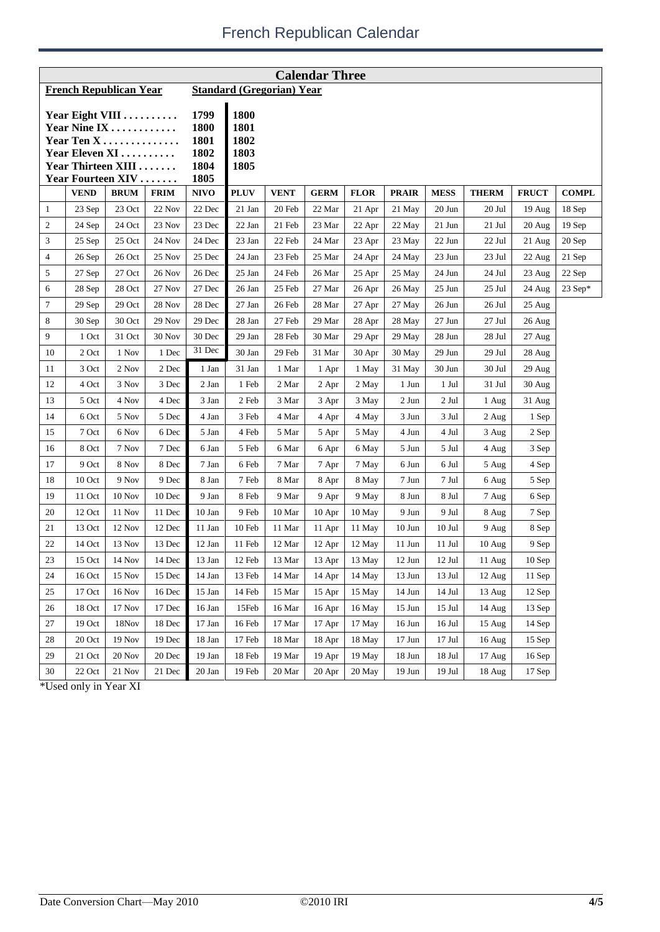| <b>Calendar Three</b>                                                                                      |               |             |             |                                              |                                      |                                  |             |             |              |             |                  |                    |              |
|------------------------------------------------------------------------------------------------------------|---------------|-------------|-------------|----------------------------------------------|--------------------------------------|----------------------------------|-------------|-------------|--------------|-------------|------------------|--------------------|--------------|
| <b>French Republican Year</b>                                                                              |               |             |             |                                              |                                      | <b>Standard (Gregorian) Year</b> |             |             |              |             |                  |                    |              |
| Year Eight VIII<br>Year Nine IX<br>Year Ten X<br>Year Eleven XI<br>Year Thirteen XIII<br>Year Fourteen XIV |               |             |             | 1799<br>1800<br>1801<br>1802<br>1804<br>1805 | 1800<br>1801<br>1802<br>1803<br>1805 |                                  |             |             |              |             |                  |                    |              |
|                                                                                                            | <b>VEND</b>   | <b>BRUM</b> | <b>FRIM</b> | <b>NIVO</b>                                  | <b>PLUV</b>                          | <b>VENT</b>                      | <b>GERM</b> | <b>FLOR</b> | <b>PRAIR</b> | <b>MESS</b> | <b>THERM</b>     | <b>FRUCT</b>       | <b>COMPL</b> |
| $\mathbf{1}$                                                                                               | 23 Sep        | 23 Oct      | 22 Nov      | 22 Dec                                       | 21 Jan                               | 20 Feb                           | 22 Mar      | 21 Apr      | 21 May       | 20 Jun      | 20 Jul           | 19 Aug             | 18 Sep       |
| $\boldsymbol{2}$                                                                                           | 24 Sep        | 24 Oct      | 23 Nov      | 23 Dec                                       | 22 Jan                               | 21 Feb                           | 23 Mar      | 22 Apr      | 22 May       | $21$ Jun    | 21 Jul           | $20$ Aug           | $19$ Sep     |
| 3                                                                                                          | 25 Sep        | 25 Oct      | 24 Nov      | 24 Dec                                       | 23 Jan                               | 22 Feb                           | 24 Mar      | 23 Apr      | 23 May       | 22 Jun      | 22 Jul           | 21 Aug             | 20 Sep       |
| $\overline{4}$                                                                                             | 26 Sep        | 26 Oct      | 25 Nov      | 25 Dec                                       | 24 Jan                               | 23 Feb                           | 25 Mar      | 24 Apr      | 24 May       | 23 Jun      | 23 Jul           | 22 Aug             | 21 Sep       |
| 5                                                                                                          | 27 Sep        | 27 Oct      | 26 Nov      | 26 Dec                                       | 25 Jan                               | 24 Feb                           | 26 Mar      | 25 Apr      | 25 May       | 24 Jun      | 24 Jul           | 23 Aug             | 22 Sep       |
| 6                                                                                                          | 28 Sep        | 28 Oct      | 27 Nov      | 27 Dec                                       | 26 Jan                               | 25 Feb                           | 27 Mar      | 26 Apr      | 26 May       | $25$ Jun    | 25 Jul           | 24 Aug             | $23$ Sep*    |
| $\tau$                                                                                                     | 29 Sep        | 29 Oct      | 28 Nov      | 28 Dec                                       | 27 Jan                               | 26 Feb                           | 28 Mar      | 27 Apr      | 27 May       | 26 Jun      | 26 Jul           | $25 \text{ Aug}$   |              |
| 8                                                                                                          | 30 Sep        | 30 Oct      | 29 Nov      | 29 Dec                                       | 28 Jan                               | 27 Feb                           | 29 Mar      | 28 Apr      | 28 May       | 27 Jun      | 27 Jul           | 26 Aug             |              |
| 9                                                                                                          | 1 Oct         | 31 Oct      | 30 Nov      | 30 Dec                                       | 29 Jan                               | 28 Feb                           | 30 Mar      | 29 Apr      | 29 May       | 28 Jun      | 28 Jul           | 27 Aug             |              |
| 10                                                                                                         | 2 Oct         | 1 Nov       | 1 Dec       | 31 Dec                                       | 30 Jan                               | 29 Feb                           | 31 Mar      | 30 Apr      | 30 May       | 29 Jun      | 29 Jul           | 28 Aug             |              |
| 11                                                                                                         | 3 Oct         | 2 Nov       | 2 Dec       | 1 Jan                                        | 31 Jan                               | 1 Mar                            | 1 Apr       | 1 May       | 31 May       | 30 Jun      | 30 Jul           | 29 Aug             |              |
| 12                                                                                                         | 4 Oct         | 3 Nov       | 3 Dec       | 2 Jan                                        | 1 Feb                                | 2 Mar                            | 2 Apr       | 2 May       | 1 Jun        | 1 Jul       | 31 Jul           | $30$ Aug           |              |
| 13                                                                                                         | 5 Oct         | 4 Nov       | 4 Dec       | 3 Jan                                        | 2 Feb                                | 3 Mar                            | 3 Apr       | 3 May       | 2 Jun        | 2 Jul       | 1 Aug            | 31 Aug             |              |
| 14                                                                                                         | 6 Oct         | 5 Nov       | 5 Dec       | 4 Jan                                        | 3 Feb                                | 4 Mar                            | 4 Apr       | 4 May       | 3 Jun        | 3 Jul       | 2 Aug            | 1 Sep              |              |
| 15                                                                                                         | 7 Oct         | 6 Nov       | 6 Dec       | 5 Jan                                        | 4 Feb                                | 5 Mar                            | 5 Apr       | 5 May       | 4 Jun        | 4 Jul       | 3 Aug            | 2 Sep              |              |
| 16                                                                                                         | 8 Oct         | 7 Nov       | 7 Dec       | 6 Jan                                        | 5 Feb                                | 6 Mar                            | 6 Apr       | 6 May       | 5 Jun        | 5 Jul       | 4 Aug            | 3 Sep              |              |
| 17                                                                                                         | 9 Oct         | 8 Nov       | 8 Dec       | 7 Jan                                        | 6 Feb                                | 7 Mar                            | 7 Apr       | 7 May       | 6 Jun        | 6 Jul       | 5 Aug            | 4 Sep              |              |
| 18                                                                                                         | 10 Oct        | 9 Nov       | 9 Dec       | 8 Jan                                        | 7 Feb                                | 8 Mar                            | 8 Apr       | 8 May       | 7 Jun        | 7 Jul       | 6 Aug            | 5 Sep              |              |
| 19                                                                                                         | 11 Oct        | $10$ Nov    | 10 Dec      | 9 Jan                                        | 8 Feb                                | 9 Mar                            | 9 Apr       | 9 May       | 8 Jun        | 8 Jul       | 7 Aug            | 6 Sep              |              |
| 20                                                                                                         | 12 Oct        | 11 Nov      | 11 Dec      | 10 Jan                                       | 9 Feb                                | 10 Mar                           | $10$ Apr    | 10 May      | 9 Jun        | 9 Jul       | 8 Aug            | 7 Sep              |              |
| 21                                                                                                         | 13 Oct        | 12 Nov      | 12 Dec      | 11 Jan                                       | $10\ \mbox{Feb}$                     | 11 Mar                           | 11 Apr      | 11 May      | $10$ Jun     | $10$ Jul    | 9 Aug            | 8 Sep              |              |
| 22                                                                                                         | 14 Oct        | 13 Nov      | 13 Dec      | 12 Jan                                       | 11 Feb                               | 12 Mar                           | 12 Apr      | 12 May      | 11 Jun       | 11 Jul      | $10 \text{ Aug}$ | 9 Sep              |              |
| $23\,$                                                                                                     | 15 Oct        | 14 Nov      | 14 Dec      | 13 Jan                                       | 12 Feb                               | 13 Mar                           | 13 Apr      | 13 May      | $12$ Jun     | $12$ Jul    | 11 Aug           | $10\;\mathrm{Sep}$ |              |
| 24                                                                                                         | 16 Oct        | 15 Nov      | 15 Dec      | 14 Jan                                       | 13 Feb                               | 14 Mar                           | 14 Apr      | 14 May      | $13$ Jun     | 13 Jul      | $12 \text{ Aug}$ | 11 Sep             |              |
| 25                                                                                                         | 17 Oct        | 16 Nov      | 16 Dec      | 15 Jan                                       | 14 Feb                               | 15 Mar                           | 15 Apr      | 15 May      | 14 Jun       | $14$ Jul    | $13$ Aug         | $12$ Sep           |              |
| 26                                                                                                         | 18 Oct        | 17 Nov      | 17 Dec      | 16 Jan                                       | 15Feb                                | 16 Mar                           | 16 Apr      | 16 May      | $15$ Jun     | $15$ Jul    | 14 Aug           | $13$ Sep           |              |
| 27                                                                                                         | 19 Oct        | 18Nov       | 18 Dec      | 17 Jan                                       | 16 Feb                               | 17 Mar                           | 17 Apr      | 17 May      | 16 Jun       | 16 Jul      | 15 Aug           | 14 Sep             |              |
| 28                                                                                                         | 20 Oct        | 19 Nov      | 19 Dec      | 18 Jan                                       | 17 Feb                               | 18 Mar                           | 18 Apr      | 18 May      | $17$ Jun     | $17$ Jul    | 16 Aug           | $15$ Sep           |              |
| 29                                                                                                         | 21 Oct        | 20 Nov      | 20 Dec      | 19 Jan                                       | 18 Feb                               | 19 Mar                           | 19 Apr      | 19 May      | 18 Jun       | 18 Jul      | 17 Aug           | $16$ Sep           |              |
| 30                                                                                                         | $22$ Oct $\,$ | 21 Nov      | 21 Dec      | 20 Jan                                       | 19 Feb                               | 20 Mar                           | 20 Apr      | 20 May      | $19$ Jun     | 19 Jul      | 18 Aug           | $17$ Sep           |              |

\*Used only in Year XI